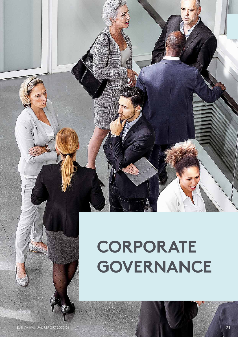

# **CORPORATE GOVERNANCE**

ELEKTA ANNUAL REPORT 2020/21 **71**

渝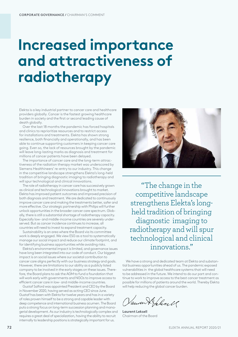# **Increased importance and attractiveness of radiotherapy**

Elekta is a key industrial partner to cancer care and healthcare providers globally. Cancer is the fastest growing healthcare burden in society and the first or second leading cause of death globally.

Over the last 18 months the pandemic has forced hospitals and clinics to reprioritize resources and to restrict access for installations and treatments. Elekta has shown strong resilience, both financially and operationally, and has been able to continue supporting customers in keeping cancer care going. Even so, the lack of resources brought by the pandemic will leave long-lasting marks as diagnosis and treatment for millions of cancer patients have been delayed.

The importance of cancer care and the long-term attractiveness of the radiation therapy market was underscored by Siemens Healthineers' re-entry to our industry. This change in the competitive landscape strengthens Elekta's long-held tradition of bringing diagnostic imaging to radiotherapy and will spur technological and clinical innovations.

The role of radiotherapy in cancer care has successively grown as clinical and technological innovations brought to market. Elekta has improved patient outcomes and improved precision of both diagnosis and treatment. We are dedicated to continuously improve cancer care and making the treatments better, safer and more effective. Our strategic partnership with Philips will further unlock opportunities in the broader cancer care spectrum. Globally, there is still a substantial shortage of radiotherapy capacity. Especially low- and middle-income countries are severely underserved. But as cancer incidence continues to increase, all countries will need to invest to expand treatment capacity.

Sustainability is an area where the Board via its committee work is deeply engaged. We view ESG as a tool to systematically manage our social impact and reduce our climate footprint, and for identifying business opportunities while avoiding risks.

Elekta's environmental impact is limited, and governance issues have long been integrated into our code of conduct. Our biggest impact is on social issues where our societal contribution to cancer care aligns perfectly with our business strategy and goals. However, there are limitations to our ability as a publicly listed company to be involved in the early stages on these issues. Therefore, the Board plans to ask the AGM to fund a foundation that will work early with governments and NGOs to improve access to efficient cancer care in low- and middle-income countries.

Gustaf Salford was appointed President and CEO by the Board in November 2020, having served as acting CEO since June. Gustaf has been with Elekta for twelve years and has in a variety of roles proven himself to be a strong and capable leader with deep competence and international business acumen. The Board puts a strong focus on long-term succession planning and managerial development. As our industry is technologically complex and requires a great deal of specialization, having the ability to recruit internally to leadership positions is strategically important for us.



"The change in the competitive landscape strengthens Elekta's longheld tradition of bringing diagnostic imaging to radiotherapy and will spur technological and clinical innovations."

We have a strong and dedicated team at Elekta and substantial business opportunities ahead of us. The pandemic exposed vulnerabilities in the global healthcare systems that will need to be addressed in the future. We intend to do our part and continue to work to improve access to the best cancer treatment as possible for millions of patients around the world. Thereby Elekta will help reducing the global cancer burden.

annen Kelisel

**Laurent Leksell** Chairman of the Board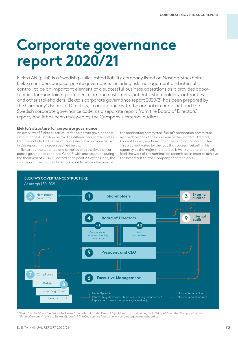# **Corporate governance report 2020/21**

Elekta AB (publ) is a Swedish public limited liability company listed on Nasdaq Stockholm. Elekta considers good corporate governance, including risk management and internal control, to be an important element of a successful business operations as it provides opportunities for maintaining confidence among customers, patients, shareholders, authorities and other stakeholders. Elekta's corporate governance report 2020/21 has been prepared by the Company's Board of Directors, in accordance with the annual accounts act and the Swedish corporate governance code, as a separate report from the Board of Directors' report, and it has been reviewed by the Company's external auditor.

# **Elekta's structure for corporate governance**

An overview of Elekta's<sup>1)</sup> structure for corporate governance is set out in the illustration below. The different corporate bodies that are included in the structure are described in more detail in this report in the order specified below.

Elekta has implemented and complied with the Swedish corporate governance code (the Code)<sup>2)</sup> with one exception during the fiscal year of 2020/21. According to point 2.4 of the Code, the chairman of the Board of Directors is not to be the chairman of

the nomination committee. Elekta's nomination committee resolved to appoint the chairman of the Board of Directors, Laurent Leksell, as chairman of the nomination committee. This was motivated by the fact that Laurent Leksell, in his capacity as the major shareholder, is well suited to effectively lead the work of the nomination committee in order to achieve the best result for the Company's shareholders.



1) "Elekta" or the "Group" refers to the Elekta Group which includes Elekta AB (publ) and its subsidiaries, and "Elekta AB" and the "Company" or the "Parent Company" refers to Elekta AB (publ). <sup>2)</sup> The Code can be found at www.corporategovernanceboard.se.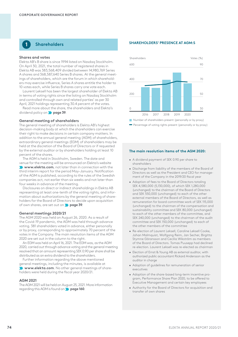# **1 Shareholders**

# **Shares and votes**

Elekta AB's B share is since 1994 listed on Nasdaq Stockholm. On April 30, 2021, the total number of registered shares in Elekta AB was 383,568,409 divided between 14,980,769 Series A shares and 368,587,640 Series B shares. At the general meetings of shareholders, which are the forum in which shareholders may exercise influence, Series A shares entitle the holder to 10 votes each, while Series B shares carry one vote each.

Laurent Leksell has been the largest shareholder of Elekta AB in terms of voting rights since the listing on Nasdaq Stockholm and controlled through own and related parties' as per 30 April, 2021 holdings representing 30.4 percent of the votes.

Read more about the share, the shareholders and Elekta's dividend policy on **page 39**.

# **General meeting of shareholders**

The general meeting of shareholders is Elekta AB's highest decision-making body at which the shareholders can exercise their right to make decisions in certain company matters. In addition to the annual general meeting (AGM) of shareholders, extraordinary general meetings (EGM) of shareholders may be held at the discretion of the Board of Directors or if requested by the external auditor or by shareholders holding at least 10 percent of the shares.

The AGM is held in Stockholm, Sweden. The date and venue for the meeting will be announced on Elekta's website **www.elekta.com**, not later than in connection with the third interim report for the period May–January. Notification of the AGM is published, according to the rules of the Swedish companies act, not earlier than six weeks and not later than four weeks in advance of the meeting.

Disclosures on direct or indirect shareholdings in Elekta AB representing at least one-tenth of the voting rights, and information about authorizations by the general meeting of shareholders for the Board of Directors to decide upon acquisition of own shares, are set out on **page 39**.

# **General meetings 2020/21**

The AGM 2020 was held on August 26, 2020. As a result of the Covid-19 pandemic, the AGM was held through advance voting. 381 shareholders voted in advance, either personally or by proxy, corresponding to approximately 70 percent of the votes in the Company. The main resolution items of the AGM 2020 are set out in the column to the right.

An EGM was held on April 16, 2021. The EGM was, as the AGM 2020, carried out through advance voting and the general meeting resolved that an amount representing SEK 0.90 per share shall be distributed as an extra dividend to the shareholders.

Further information regarding the above mentioned general meetings, including the minutes, is available at **Www.elekta.com**. No other general meetings of shareholders were held during the fiscal year 2020/21.

## **AGM 2021**

The AGM 2021 will be held on August 25, 2021. More information regarding this AGM is found on **page 160**.

# **SHAREHOLDERS' PRESENCE AT AGM:S**



Percentage of voting rights present (personally or by proxy)

# **The main resolution items of the AGM 2020:**

- A dividend payment of SEK 0.90 per share to shareholders
- Discharge from liability of the members of the Board of Directors as well as the President and CEO for management of the Company in the 2019/20 fiscal year
- Adoption of fees to the Board of Directors totaling SEK 4,580,000 (5,130,000), of which SEK 1,280,000 (unchanged) to the chairman of the Board of Directors and SEK 550,000 (unchanged) to each of the other external members of the Board of Directors, as well as remuneration for board committee work of SEK 115,000 (unchanged) to the chairman of the compensation and sustainability committee and SEK 80,000 (unchanged) to each of the other members of the committee, and SEK 240,000 (unchanged) to the chairman of the audit committee and SEK 150,000 (unchanged) to each of the other members of the committee
- Re-election of Laurent Leksell, Caroline Leksell Cooke, Johan Malmquist, Wolfgang Reim, Jan Secher, Birgitta Stymne Göransson and Cecilia Wikström as members of the Board of Directors. Tomas Puusepp had declined re-election. Laurent Leksell was re-elected as chairman
- Election of Ernst & Young AB as external auditor, with authorized public accountant Rickard Andersson as the auditor in charge
- Adoption of guidelines for remuneration of senior executives
- Adoption of the share-based long-term incentive program, Performance Share Plan 2020, to be offered to Executive Management and certain key employees
- Authority for the Board of Directors for acquisition and transfer of own shares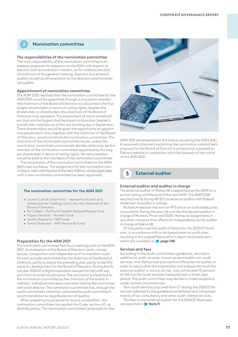# **2 Nomination committee**

# **The responsibilities of the nomination committee**

The main responsibility of the nomination committee is to prepare proposals for adoption at the AGM with respect to election and remuneration matters, as for instance election of chairman of the general meeting, directors and external auditor as well as remuneration to the directors and the external auditor.

## **Appointment of nomination committee**

The AGM 2020 resolved that the nomination committee for the AGM 2021 would be appointed through a procedure whereby the chairman of the Board of Directors would contact the four largest shareholders in terms of voting rights, besides the shareholder or shareholders the chairman of the Board of Directors may represent. The assessment of which shareholders that are the largest shall be based on Euroclear Sweden's shareholder statistics as of the last banking day in September. These shareholders would be given the opportunity to appoint one person each who, together with the chairman of the Board of Directors, would constitute the nomination committee. The chairman of the nomination committee would, unless the nomination committee unanimously decides otherwise, be the member of the nomination committee appointed by the largest shareholder in terms of voting rights. No remuneration would be paid to the members of the nomination committee.

The composition of the nomination committee for the AGM 2021 is set out below. The assignment for the nomination committee is valid until the end of the next AGM or, where applicable, until a new nomination committee has been appointed.

# **The nomination committee for the AGM 2021**

- Laurent Leksell (chairman) represents his own and related parties' holdings and is also the chairman of the assignment for the nomination committee is valid until the nomination committee is valid until the state of the  $\alpha$
- $\bullet\,$  Per Colleen The Fourth Swedish National Pension Fund
- Filippa Gerstädt Nordea Funds
- appointed. Javiera Ragnartz SEB Funds
	- Tomas Risbecker AMF Pension & Funds

# **Preparation for the AGM 2021**

The nomination committee held four meetings prior to the AGM 2021. An evaluation of the Board of Directors' work, competences, composition and independence of its members is performed annually and initiated by the chairman of the Board of Directors, partly to assess the preceding year, partly to identify areas for development for the Board of Directors. During the fiscal year 2020/21 a digital evaluation was performed with support from an external company. The conclusion is presented to the nomination committee by the chairman of the board. In addition, individual interviews have been held by the committee with each director. The nomination committee has, through the audit committee's chairman, obtained the audit committee's recommendation as regards election of auditor.

When preparing its proposal for board composition, the nomination committee has applied the Code, section 4.1, as diversity policy. The nomination committee's proposals for the



AGM 2021 are presented in the notice convening the AGM 2021. A reasoned statement explaining the nomination committee's proposal for the Board of Director's composition is posted on Elekta's website in connection with the issuance of the notice of the AGM 2021.

### **2 3 External auditor**

# **External auditor and auditor in charge**

The external auditor of Elekta AB is appointed by the AGM for a period lasting until the end of the next AGM. The AGM 2020 elected Ernst & Young AB (EY) as external auditor with Rickard Andersson as auditor in charge.

Rickard Andersson was born in 1973 and is an authorized public accountant. During the year, he was also the elected auditor in charge of Munters, Pricer and SSAB. He has no assignments in any other company that affects his independence as the auditor in charge of Elekta AB.

EY has performed the audit of Elekta for the 2020/21 fiscal year, in accordance with a risk-based external audit plan, resulting in the unqualified auditor's report and statement, which are available on **page 148**.

# **Services and fees**

According to the audit committee's guidelines, services in addition to audit services, known as permissible non-audit services, that Elekta may procure from the external auditor in order to assure that the impartiality and independence of the external auditor is not put at risk, may not exceed 70 percent of the cost for audit services measured over a three-year period. The audit committee may decide to make exceptions under certain circumstances.

Non-audit services procured from EY during the 2020/21 fiscal year adhered to the guidelines established and comprised mainly of tax consultancy and other audit-related services.

The fees to the external auditor for the 2020/21 fiscal year are reported in **Note 9**.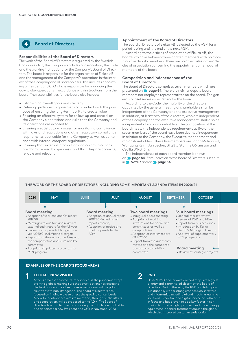**4 Board of Directors**

# **Responsibilities of the Board of Directors**

The work of the Board of Directors is regulated by the Swedish Companies Act, the Company's articles of association, the Code and the working instructions for the Company's Board of Directors. The board is responsible for the organization of Elekta AB and the management of the Company's operations in the interest of the Company and all shareholders. This includes appointing a President and CEO who is responsible for managing the day-to-day operations in accordance with instructions from the board. The responsibilities for the board also include:

- Establishing overall goals and strategy
- Defining guidelines to govern ethical conduct with the purpose of ensuring the long-term ability to create value
- Ensuring an effective system for follow-up and control on the Company's operations and risks that the Company and its operations are exposed to
- Ensuring a satisfactory process for monitoring compliance with laws and regulations and other regulatory compliance requirements applicable for the Company as well as compliance with internal company regulations
- Ensuring that external information and communications are characterized by openness, and that they are accurate, reliable and relevant

# **Appointment of the Board of Directors**

The Board of Directors of Elekta AB is elected by the AGM for a period lasting until the end of the next AGM.

According to the articles of association of Elekta AB, the board is to have between three and ten members with no more than five deputy members. There are no other rules in the articles of association concerning the appointment or removal of members of the board.

# **Composition and independence of the Board of Directors**

The Board of Directors comprises seven members which are presented on **page 84**. There are neither deputy board members nor employee representatives on the board. The general counsel serves as secretary for the board.

According to the Code, the majority of the directors appointed by the general meeting of shareholders shall be independent of the Company and the executive management. In addition, at least two of the directors, who are independent of the Company and the executive management, shall also be independent of major shareholders. The composition of the board meets the independence requirements as five of the seven members of the board have been deemed independent in relation to the Company, the Executive Management and major shareholders. These five members are Johan Malmquist, Wolfgang Reim, Jan Secher, Birgitta Stymne Göransson and Cecilia Wikström.

The independence of each board member is shown on **page 84**. Remuneration to the Board of Directors is set out in **Note 7** and on **page 84**.

# **THE WORK OF THE BOARD OF DIRECTORS INCLUDING SOME IMPORTANT AGENDA ITEMS IN 2020/21**



MTN-program

# **EXAMPLES OF THE BOARD'S FOCUS AREAS**

# **ELEKTA'S NEW VISION**

A focus area that proved its importance as the pandemic swept **1 R&D** over the globe is making sure that every patient has access to the best cancer care – Elekta's renewed vision and the pillar of Elekta's sustainability agenda. The Board of Directors has focused on finding ways to affect the growing cancer burden. A new foundation that aims to meet this, through public affairs and cooperation, will be proposed to the AGM. The Board of Directors has also focused on choosing the right leader for Elekta and appointed a new President and CEO in November 2020.

**2**

Elekta's R&D and innovation road map is of highest priority and is monitored closely by the Board of Directors. During the year, the R&D portfolio grew substantially with a strong emphasis on software and informatics including AI and machine learning solutions. Proactive and digital service has also been in focus and has proven to be a key factor in continuing to provide high up-time of radiation therapy equipment in cancer treatment around the globe, which also improved customer satisfaction.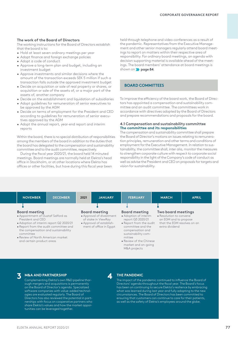# **The work of the Board of Directors**

The working instructions for the Board of Directors establish that the board is to:

- Hold at least seven ordinary meetings per year
- Adopt finance and foreign exchange policies
- Adopt a code of conduct
- Approve a long-term plan and budget, including an investment budget
- Approve investments and similar decisions where the amount of the transaction exceeds SEK 5 million if such a transaction falls outside the approved investment budget
- Decide on acquisition or sale of real property or shares, or acquisition or sale of the assets of, or a major part of the assets of, another company
- Decide on the establishment and liquidation of subsidiaries
- Adopt guidelines for remuneration of senior executives to be approved by the AGM
- Decide on terms of employment for the President and CEO according to guidelines for remuneration of senior executives approved by the AGM
- Adopt the annual report, year-end report and interim reports

Within the board, there is no special distribution of responsibilities among the members of the board in addition to the duties that the board has delegated to the compensation and sustainability committee and to the audit committee, respectively.

During the fiscal year 2020/21, the board held 14 minuted meetings. Board meetings are normally held at Elekta's head office in Stockholm, or at other locations where Elekta has offices or other facilities, but have during this fiscal year been

held through telephone and video conferences as a result of the pandemic. Representatives from the Executive Management and other senior managers regularly attend board meetings to report on matters within their respective area of responsibility. For ordinary board meetings, an agenda with decision supporting material is available ahead of the meetings. The board members' attendance at board meetings is shown on **page 84**.

# **BOARD COMMITTEES**

To improve the efficiency of the board work, the Board of Directors has appointed a compensation and sustainability committee and an audit committee. The committees work in accordance with directives adopted by the Board of Directors and prepare recommendations and proposals for the board.

# **4.1 Compensation and sustainability committee The committee and its responsibilities**

The compensation and sustainability committee shall prepare the Board of Director's motions on issues relating to remuneration principles, remuneration and other terms and conditions of employment for the Executive Management. In relation to sustainability, the committee shall, inter alia, monitor the measures to strengthen corporate culture with respect to corporate social responsibility in the light of the Company's code of conduct as well as advise the President and CEO on proposals for targets and vision for sustainability.

| <b>NOVEMBER</b>                                                                                                                                                                                                                                                                           |
|-------------------------------------------------------------------------------------------------------------------------------------------------------------------------------------------------------------------------------------------------------------------------------------------|
|                                                                                                                                                                                                                                                                                           |
|                                                                                                                                                                                                                                                                                           |
| <b>Board meeting</b><br>• Appointment of Gustaf Salford as<br>President and CEO<br>• Adoption of interim report Q2 2020/21<br>• Report from the audit committee and<br>the compensation and sustainability<br>committee<br>• Review of North American market<br>and certain product areas |

**4**

# **M&A AND PARTNERSHIP 3 THE PANDEMIC**

Complementing Elekta's own R&D pipeline thorough mergers and acquisitions is permanently on the Board of Director's agenda. Specialized software companies with value-added technologies are evaluated regularly. The Board of Directors has also reviewed the potential in partnerships with focus on cooperative partners who share Elekta's values and how the market opportunities can be leveraged together.

The impact of the pandemic continued to influence the Board of Directors' agenda throughout the fiscal year. The Board's focus has been on continuing to secure Elekta's resilience by embracing what was learned during last year and fully adapting to the new circumstances. The Board of Directors has been committed to ensuring that customers can continue to care for their patients, as well as the safety of Elekta's employees around the globe.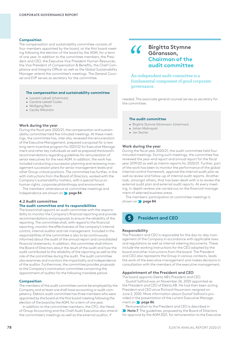## **Composition**

The compensation and sustainability committee consists of four members appointed by the board, at the first board meeting following the election of the board by the AGM, for a term of one year. In addition to the committee members, the President and CEO, the Executive Vice President Human Resources, the Vice President of Compensation & Benefits, the Chief Compliance and Integrity Officer as well as the Global Sustainability Manager attend the committee's meetings. The General Counsel and EVP serves as secretary for the committee.

# **The compensation and sustainability committee**

- Laurent Leksell (chairman)
- Caroline Leksell Cooke
- Wolfgang Reim
- Cecilia Wikström

# **Work during the year**

During the fiscal year 2020/21, the compensation and sustainability committee held five minuted meetings. At these meetings, the committee has, inter alia, reviewed the remuneration of the Executive Management, prepared a proposal for a new long-term incentive program for 2021/22 for Executive Management and other key individuals as well as prepared the board's recommendations regarding guidelines for remuneration of senior executives for the next AGM. In addition, the work has included conducting a succession planning and reviewing management succession plans for senior management levels and other Group-critical positions. The committee has further, in line with instructions from the Board of Directors, worked with the Company's sustainability matters, with a special focus on human rights, corporate philanthropy and environment.

The members' attendance at committee meetings and independence are shown on **page 84**.

# **4.2 Audit committee The audit committee and its responsibilities**

The board shall appoint an audit committee with the responsibility to monitor the Company's financial reporting and provide recommendations and proposals to ensure the reliability of the reporting. The committee shall, with regard to the financial reporting, monitor the effectiveness of the company's internal control, internal auditor and risk management. Included in the responsibilities of the committee is also to be continuously informed about the audit of the annual report and consolidated financial statements. In addition, the committee shall inform the Board of Directors about the result of the audit and how the audit contributed to the reliability of the reporting as well as the role of the committee during the audit. The audit committee also examines and monitors the impartiality and independence of the auditor. Furthermore, the committee provides proposals to the Company's nomination committee concerning the appointment of auditor for the following mandate period.

### **Composition**

The members of the audit committee cannot be employed by the Company and at least one shall have accounting or audit competency. Elekta's audit committee has three members who were appointed by the board at the first board meeting following the election of the board by the AGM, for a term of one year.

In addition to the committee members, the CFO, the Head of Group Accounting and the Chief Audit Executive also attend the committee's meetings as well as the external auditor, if

# **Birgitta Stymne Göransson, Chairman of the audit committee**

An independent audit committee is a fundamental component of good corporate governance.

needed. The associate general counsel serves as secretary for the committee.

# **The audit committee**

- Birgitta Stymne Göransson (chairman)
- Johan Malmquist
- Jan Secher

# **Work during the year**

During the fiscal year 2020/21, the audit committee held four minuted meetings. During such meetings, the committee has reviewed the year-end report and annual report for the fiscal year 2019/20 as well as interim reports for 2020/21. Further, part of the work has been to monitor the performance of the global internal control framework, approve the internal audit plan as well as review and follow-up of internal audit reports. Another task, amongst others, that has been dealt with is to review the external audit plan and external audit reports. At every meeting, in-depth reviews are carried out on the financial management of selected business areas.

The members' participation at committee meetings is shown on **page 84**.

# **5 President and CEO**

# **Responsibility**

The President and CEO is responsible for the day-to-day management of the Company in accordance with applicable laws and regulations as well as internal steering documents. These include the working instructions for the CEO adopted by the board and other instructions from the board. The President and CEO also represents the Group in various contexts, leads the work of the executive management and makes decisions in consultation with the members of the executive management.

### **Appointment of the President and CEO**

The board appoints Elekta AB's President and CEO.

Gustaf Salford was on November 26, 2020 appointed as the President and CEO of Elekta AB. He had then been acting President and CEO since Richard Hausmann resigned on June 2, 2020. More information about Gustaf Salford is provided in the presentation of the current Executive Management on **page 86**.

Remuneration to the President and CEO is described in **Note 7**. The guidelines, proposed by the Board of Directors for approval by the AGM 2021, for remuneration to the Executive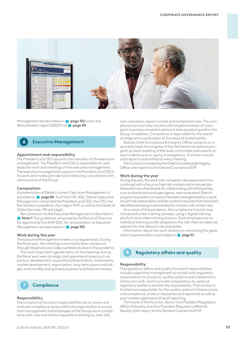

Management are described on **page 102** and in the Remuneration report 2020/21 on **page 89**.



# **Appointment and responsibility**

The President and CEO appoints the members of the executive management. The President and CEO is responsible for and leads the work and meetings of the executive management. The executive management supports the President and CEO in his work and makes joint decisions following consultation with various parts of the Group.

## **Composition**

A presentation of Elekta's current Executive Management is provided on **page 86**. As of April 30, 2021, Elekta's Executive Management comprised the President and CEO, the CFO, the five Solutions presidents, four region EVPs as well as the heads of Global Services, HR and Legal.

Remuneration to the Executive Management is described in **Note 7**. The guidelines, proposed by the Board of Directors for approval by the AGM 2021, for remuneration to Executive Management are described on **page 102**.

# **Work during the year**

The Executive Management meets on a regular basis. During the fiscal year, the meetings have mainly been carried out through telephone and video conferences due to the pandemic.

The most important agenda items at the meetings during the fiscal year were strategic and operational issues such as product development, acquisitions/divestments, investments, market development, organization, long-term plans and budget, and monthly and quarterly business and financial reviews.



## **Responsibility**

The compliance function's responsibilities are to review and evaluate compliance issues within the organization to ensure that management and employees of the Group are in compliance with rules and ethical regulations relating to, inter alia,

anti-corruption, export control and competition law. The compliance function also monitors the implementation of a program to ensure compliant personal data processing within the Group. In addition, Compliance is responsible for the overall strategy and coordination of the areas of sustainability.

Elekta's Chief Compliance & Integrity Officer presents on a quarterly basis the progress of the risk-based compliance program at each meeting of the audit committee and reports on any incidents and on-going investigations. A written compliance report is submitted at every meeting.

The function is headed by the Chief Compliance & Integrity Officer who reports to the General Counsel and EVP.

### **Work during the year**

During the year, the work with corruption risk assessments has continued with a focus on high risk markets and in connection therewith has a framework for collaborating with third parties, such as distributors and sales agents, been evaluated. Elekta's program to prevent corruption has been strengthened as a result of such risk assessments and the control measures that have been identified are being implemented for markets with similar risks.

As a result of the pandemic, the compliance function has introduced a new training concept, using a digital training platform and video training sessions. Each employee has an individual training profile adapted to the risks that are deemed relevant for the relevant role and duties.

Information about the work relating to monitoring the goals within business ethics is provided on **page 51**.

# **8 Regulatory affairs and quality**

# **Responsibility**

The regulatory affairs and quality function's responsibilities include supporting management to comply with regulatory requirements for products, quality systems and market entry. Interaction with, and to provide transparency to, external regulatory bodies is another key responsibility. The function is furthermore responsible for the quality system's infrastructure and compliance, product clearances and approvals as well as post market vigilance and recall reporting.

The heads of the function, Senior Vice President Regulatory Affairs & Quality and Vice President Regulatory Affairs & Quality, both report to the General Counsel and EVP.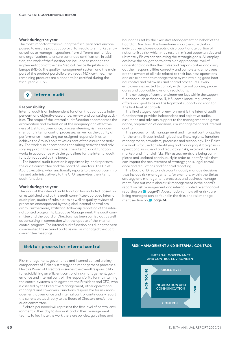# **Work during the year**

The most important tasks during the fiscal year have encompassed to ensure product approval for regulatory market entry as well as to manage inspections from different authorities and organizations to ensure continued certification. In addition, the work of the function has included to manage the implementation of the new Medical Device Regulation in Europe (MDR). The quality management system and the main part of the product portfolio are already MDR certified. The remaining products are planned to be certified during the fiscal year 2021/22.

**9 Internal audit**

# **Responsibility**

Internal audit is an independent function that conducts independent and objective assurance, review and consulting activities. The scope of the internal audit function encompasses the examination and evaluation of the adequacy and effectiveness of Elekta's governance, process steering, risk management and internal control processes, as well as the quality of performance in carrying out assigned responsibilities to achieve the Group's objectives as part of the assurance activity. The work also encompasses consulting activities and advisory support in the same areas. The internal audit function works in accordance with the guidelines for the internal audit function adopted by the board.

The internal audit function is appointed by, and reports to, the audit committee and the Board of Directors. The Chief Audit Executive, who functionally reports to the audit committee and administratively to the CFO, supervises the internal audit function.

# **Work during the year**

The work of the internal audit function has included, based on an established and by the audit committee approved internal audit plan, audits of subsidiaries as well as quality reviews of processes encompassed by the global internal control program. Furthermore, statistical follow-up reporting of the internal control program to Executive Management, the audit committee and the Board of Directors has been carried out as well as consulting in connection with the update of the internal control program. The internal audit function has during the year coordinated the external audit as well as managed the audit committee meetings.

# **Elekta´s process for internal control**

Risk management, governance and internal control are key components of Elekta's strategy and management processes. Elekta's Board of Directors assumes the overall responsibility for establishing an efficient control of risk management, governance and internal control. The responsibility for maintaining the control systems is delegated to the President and CEO, who is assisted by the Executive Management, other operational managers and coworkers. Functions responsible for risk management, governance and internal control continuously report the current status directly to the Board of Directors and/or the audit committee.

Elekta's personnel will represent the first level of control environment in their day to day work and in their management teams. To facilitate the work there are policies, guidelines and

boundaries set by the Executive Management on behalf of the Board of Directors. The boundaries should ensure that no individual employee accepts a disproportionate portion of risk or to little risk which may result in missed opportunities and ultimately Elekta not achieving the strategic goals. All employees have the obligation to obtain an appropriate level of understanding within their roles and responsibilities and carry out their responsibilities correctly and completely. Employees are the owners of all risks related to their business operations and are expected to manage these by maintaining good internal control and follow risk and control procedures. Every employee is expected to comply with internal policies, procedures and applicable laws and regulations.

The next stage of control environment lays within the support functions such as finance, IT, HR, compliance, regulatory affairs and quality as well as legal that support and monitor the first level of controls.

The final stage of control environment is the internal audit function that provides independent and objective audits, assurance and advisory support to the management on governance, preparation of decisions, risk management and internal control.

The process for risk management and internal control applies for the entire Group, including business lines, regions, functions, management, coworkers, processes and technology. The Elekta risk work is focused on identifying and managing strategic risks, operational risks, legal and regulatory risks, external risks and market- and financial risks. Risk assessments are being completed and updated continuously in order to identify risks that can impact the achievement of strategy goals, legal compliance and regulations and financial reporting.

The Board of Directors also continuously manage decisions that include risk management, for example, within the Elekta strategy and management processes and business management. Find out more about risk management in the board's report on risk management and internal control over financial reporting on **page 81**. A description of how other risks are being managed can be found in the risks and risk management section on **page 34**.

# **RISK MANAGEMENT AND INTERNAL CONTROL**

### **INTERNAL GOVERNANCE AND CONTROL ENVIRONMENT**

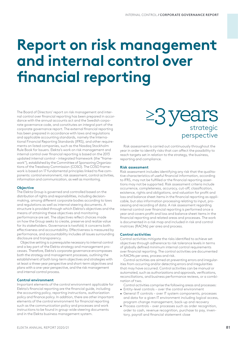# **Report on risk management and internal control over financial reporting**

The Board of Directors' report on risk management and internal control over financial reporting has been prepared in accordance with the annual accounts act and the Swedish corporate governance code, and constitutes an integral part of the corporate governance report. The external financial reporting has been prepared in accordance with laws and regulations and applicable accounting standards, namely the International Financial Reporting Standards (IFRS), and other requirements on listed companies, such as the Nasdaq Stockholm Rule Book for Issuers. Elekta's work on risk management and internal control over financial reporting is based on the 2013 updated internal control – integrated framework (the "framework"), established by the Committee of Sponsoring Organizations of the Treadway Commission (COSO). The COSO framework is based on 17 fundamental principles linked to five components: control environment, risk assessment, control activities, information and communication, as well as monitoring.

# **Objective**

The Elekta Group is governed and controlled based on the distribution of rights and responsibilities, including decisionmaking, among different corporate bodies according to laws and regulations as well as internal steering documents. A structure is provided through which Elekta's objectives and the means of attaining these objectives and monitoring performance are set. The objectives reflect choices made on how the Group seeks to create, preserve and realize value for its stakeholders. Governance is twofold; it concerns both effectiveness and accountability. Effectiveness is measured by performance, and accountability includes all issues surrounding disclosure and transparency.

Objective setting is a prerequisite necessary to internal control and a key part of the Elekta strategy and management processes. Therefore, Elekta's corporate governance encompasses both the strategy and management processes, outlining the establishment of both long-term objectives and strategies with at least a three-year perspective and short-term objectives and plans with a one-year perspective, and the risk management and internal control process.

# **Control environment**

Important elements of the control environment applicable for Elekta's financial reporting are the financial guide, including the accounting policy, reporting instructions, authorization policy and finance policy. In addition, there are other important elements of the control environment for financial reporting such as the communication policy and processes and work instructions to be found in group-wide steering documents and in the Elekta business management system.



Risk assessment is carried out continuously throughout the year in order to identify risks that can affect the possibility to reach targets set in relation to the strategy, the business, reporting and compliance.

# **Risk assessment**

Risk assessment includes identifying any risk that the qualitative characteristics of useful financial information, according to IFRS, may not be fulfilled or the financial reporting assertions may not be supported. Risk assessment criteria include occurrence, completeness, accuracy, cut-off, classification, existence, rights and obligations, and valuation for profit and loss and balance sheet items in the financial reporting as applicable, but also information processing relating to input, processing and recording of data. A risk assessment regarding internal control over financial reporting is performed once a year and covers profit and loss and balance sheet items in the financial reporting and related areas and processes. The work is documented in a risk map and included in risk and control matrices (RACMs) per area and process.

# **Control activities**

Control activities mitigate the risks identified to achieve set objectives through adherence to risk tolerance levels in terms of globally defined minimum internal control requirements over financial reporting. The control activities are documented in RACMs per area, process and risk.

Control activities are aimed at preventing errors and irregularities from occurring and/or detecting errors and irregularities that may have occurred. Control activities can be manual or automated, such as authorizations and approvals, verifications, reconciliations, and business performance reviews, or a combination of two.

Control activities comprise the following areas and processes:

- Entity-level controls over the control environment
- General IT controls over IT system components, processes and data for a given IT environment including logical access, program change management, back-up and recovery
- Process controls over processes such as order recognition, order to cash, revenue recognition, purchase to pay, inventory, payroll and financial statement close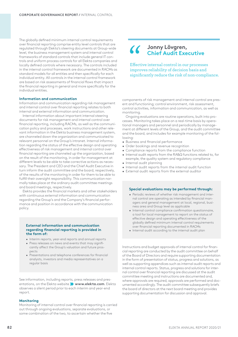The globally defined minimum internal control requirements over financial reporting comprise entity level controls that are regulated through Elekta's steering documents at Group-wide level, the business management system and internal control frameworks of standard controls that include general IT controls and uniform process controls for all Elekta companies and locally defined controls where necessary. The controls included in the internal control framework are documented in RACMs as standard models for all entities and then specifically for each individual entity. All controls in the internal control framework are based on risk assessments of financial flows that impact the financial reporting in general and more specifically for the individual entities.

# **Information and communication**

Information and communication regarding risk management and internal control over financial reporting relates to both internal and external information and communication.

Internal information about important internal steering documents for risk management and internal control over financial reporting, including RACMs, as well as the communication policy and processes, work instructions and other relevant information in the Elekta business management system, are channeled down the organization and communicated to relevant personnel on the Group's intranet. Internal information regarding the status of the effective design and operating effectiveness of risk management and internal control over financial reporting are channeled up the organization, based on the result of the monitoring, in order for management at different levels to be able to take corrective actions as necessary. The President and CEO and the Chief Audit Executive in turn inform the audit committee and the board, respectively, of the results of the monitoring in order for them to be able to fulfill their oversight responsibility. This communication normally takes place at the ordinary audit committee meetings and board meetings, respectively.

Elekta provides the financial markets and other stakeholders with continuous external information and communication regarding the Group's and the Company's financial performance and position in accordance with the communication policy.

# **External information and communication regarding financial reporting is provided in the form of:**

- Interim reports, year-end reports and annual reports
- Press releases on news and events that may significantly affect the Group's valuation and future prospects
- Presentations and telephone conferences for financial analysts, investors and media representatives on a regular basis

See information, including reports, press releases and presentations, on the Elekta website **www.elekta.com**. Elekta observes a silent period prior to each interim and year-end report.

# **Monitoring**

Monitoring of internal control over financial reporting is carried out through ongoing evaluations, separate evaluations, or some combination of the two, to ascertain whether the five

# **Jonny Lövgren, Chief Audit Executive**

Effective internal control in our processes improves reliability of decision basis and significantly reduce the risk of non-compliance.

components of risk management and internal control are present and functioning; control environment, risk assessment, control activities, information and communication, as well as monitoring.

Ongoing evaluations are routine operations, built into processes. Monitoring takes place on a real-time basis by operational managers and personnel and periodically by management at different levels of the Group, and the audit committee and the board, and includes for example monitoring of the following:

- Business and financial performance
- Order bookings and revenue recognition
- Compliance reports from the compliance function
- Internal audit reports from the RA&Q functions related to, for example, the quality system and regulatory compliance • Internal audit planning
- 
- Internal audit reports from the internal audit function
- External audit reports from the external auditor

# **Special evaluations may be performed through:**

- Periodic reviews of whether risk management and internal control are operating as intended by financial managers and general management at local, regional, business area and Group level as applicable
- Internal control compliance confirmation questionnaire, a tool for local management to report on the status of effective design and operating effectiveness of the globally defined minimum internal control requirements over financial reporting documented in RACMs
- Internal audit according to the internal audit plan

Instructions and budget approvals of internal control for financial reporting are conducted by the audit committee on behalf of the Board of Directors and require supporting documentation in the form of presentation of status, progress and solutions, as well as supporting appendices such as internal audit reports and internal control reports. Status, progress and solutions for internal control over financial reporting are discussed at the audit committee meeting and instructions are documented and, where approvals are required, approvals are performed and documented accordingly. The audit committee subsequently briefs the board of directors at the next board meeting and provides supporting documentation for discussion and approval.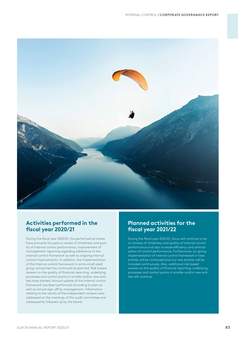

# **Activities performed in the fiscal year 2020/21**

During the fiscal year 2020/21, the performed activities have primarily focused on review of timeliness and quality of internal control performance, improvement of management reporting regarding adherence to the internal control framework as well as ongoing internal control improvements. In addition, the implementation of the internal control framework in some small sized group companies has continued as planned. Risk-based reviews on the quality of financial reporting, underlying processes and control points in smaller and/or new entities have started. Annual update of the internal control framework has been performed according to plan as well as annual sign-off by management. Information relating to the results of the independent reviews were addressed at the meetings of the audit committee and subsequently followed up by the board.

# **Planned activities for the fiscal year 2021/22**

During the fiscal year 2021/22, focus will continue to be on reviews of timeliness and quality of internal control performance and also increase efficiency and centralization of control performance. Furthermore, on-going implementation of internal control framework in new entities will be continued and any new entities will be included continuously. Also, additional risk-based reviews on the quality of financial reporting, underlying processes and control points in smaller and/or new enti-.<br>ties will continue.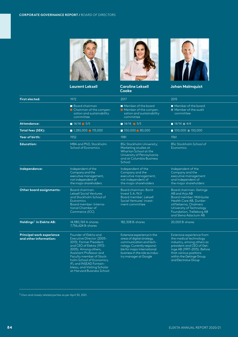

**Laurent Leksell Caroline Leksell** 



**Cooke**



**Johan Malmquist Wolfgang Reim Jan Secher Birgitta Stymne** 

| <b>First elected:</b>                                      | 1972                                                                                                                                                                                                                                                                                                          | 2017                                                                                                                                                                                                          | 2015                                                                                                                                                                                                                       |
|------------------------------------------------------------|---------------------------------------------------------------------------------------------------------------------------------------------------------------------------------------------------------------------------------------------------------------------------------------------------------------|---------------------------------------------------------------------------------------------------------------------------------------------------------------------------------------------------------------|----------------------------------------------------------------------------------------------------------------------------------------------------------------------------------------------------------------------------|
|                                                            | Board chairman<br>$\blacksquare$ Chairman of the compen-<br>sation and sustainability<br>committee                                                                                                                                                                                                            | Member of the board<br>Member of the compen-<br>sation and sustainability<br>committee                                                                                                                        | Member of the board<br>Member of the qudit<br>committee                                                                                                                                                                    |
| Attendance:                                                | $14/14$ 5/5                                                                                                                                                                                                                                                                                                   | $14/14$ 5/5                                                                                                                                                                                                   | $14/14$ $4/4$                                                                                                                                                                                                              |
| Total fees (SEK):                                          | $1,280,000$ 115,000                                                                                                                                                                                                                                                                                           | $\blacksquare$ 550,000 $\blacksquare$ 80,000                                                                                                                                                                  | $\blacksquare$ 550,000 $\blacksquare$ 150,000                                                                                                                                                                              |
| Year of birth:                                             | 1952                                                                                                                                                                                                                                                                                                          | 1981                                                                                                                                                                                                          | 1961                                                                                                                                                                                                                       |
| <b>Education:</b>                                          | MBA and PhD, Stockholm<br>School of Economics                                                                                                                                                                                                                                                                 | <b>BSc Stockholm University;</b><br>Marketing studies at<br>Wharton School at the<br>University of Pennsylvania<br>and at Columbia Business<br>School                                                         | <b>BSc Stockholm School of</b><br><b>Economics</b>                                                                                                                                                                         |
| Independence:                                              | Independent of the<br>Company and the<br>executive management,<br>not independent of<br>the major shareholders                                                                                                                                                                                                | Independent of the<br>Company and the<br>executive management,<br>not independent of<br>the major shareholders                                                                                                | Independent of the<br>Company and the<br>executive management<br>and independent of<br>the major shareholders                                                                                                              |
| Other board assignments:                                   | Board chairman:<br><b>Leksell Social Ventures</b><br>and Stockholm School of<br>Economics<br>Board member: Interna-<br>tional Chamber of<br>Commerce (ICC)                                                                                                                                                    | Board chairman: Bonit<br>Invest S.A./N.V<br>Board member: Leksell<br>Social Ventures' invest-<br>ment committee                                                                                               | Board chairman: Getinge<br>AB and Arjo AB<br>Board member: Mölnlycke<br>Health Care AB, Dunker-<br>stiftelserna, Chalmers<br>University of Technology<br>Foundation, Trelleborg AB<br>and Stena Adactum AB                 |
| Holdings <sup>1)</sup> in Elekta AB:                       | 14.980.769 A-shares<br>7.756.624 B-shares                                                                                                                                                                                                                                                                     | 182,308 B-shares                                                                                                                                                                                              | 20,000 B-shares                                                                                                                                                                                                            |
| <b>Principal work experience</b><br>and other information: | Founder of Elekta and<br>Executive Director (2005-<br>2013). Former President<br>and CEO of Elekta (1972-<br>2005). Among others,<br>Assistant Professor and<br>Faculty member of Stock-<br>holm School of Economics,<br>IFL and INSEAD Fontain-<br>bleau, and Visiting Scholar<br>at Harvard Business School | Extensive experience in the<br>areas of digital strategy,<br>communication and tech-<br>nology. Currently responsi-<br>ble for major international<br>business in the role as indus-<br>try manager at Google | Extensive experience from<br>the medical technology<br>industry, among others as<br>president and CEO of Get-<br>inge AB (1997-2015). Before<br>that various positions<br>within the Getinge Group<br>and Electrolux Group |

 $1)$  Own and closely related parties as per April 30, 2021.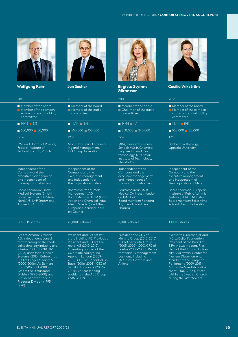

**Johan Malmquist Wolfgang Reim Jan Secher Birgitta Stymne** 





**Göransson**



**Cecilia Wikström**

|                                                                                                                                                                                                                                                                                                                                                                                                            | 2011  |
|------------------------------------------------------------------------------------------------------------------------------------------------------------------------------------------------------------------------------------------------------------------------------------------------------------------------------------------------------------------------------------------------------------|-------|
| $\blacksquare$ Member of the board<br>$\blacksquare$ Member of the compen-<br>sation and sustainability<br>committee                                                                                                                                                                                                                                                                                       |       |
| $14/14$ 5/5                                                                                                                                                                                                                                                                                                                                                                                                |       |
| $\blacksquare$ 550,000 $\blacksquare$ 80,000                                                                                                                                                                                                                                                                                                                                                               |       |
|                                                                                                                                                                                                                                                                                                                                                                                                            | 1956  |
| MSc and Doctor of Physics,<br>Federal Institute of<br>Technology ETH, Zurich                                                                                                                                                                                                                                                                                                                               |       |
| Independent of the<br>Company and the<br>executive management<br>and independent of<br>the major shareholders                                                                                                                                                                                                                                                                                              |       |
| Board chairman: Ondal<br>Medical Systems GmbH<br>Board member: GN Store,<br>Nord A/S, LAP GmbH and<br>Audeering GmbH                                                                                                                                                                                                                                                                                       |       |
| 17,500 B-shares                                                                                                                                                                                                                                                                                                                                                                                            |       |
| CEO of Amann Girrbach<br>AG. Independent consul-<br>tant focusing on the medi-<br>cal technology industry and<br>interim CEO at DORC BV<br>(2016) and Ondal Medical<br>Systems (2013). Before that,<br>CEO of Dräger Medical AG<br>(2000-2006). At Siemens<br>from 1986 until 2000, as<br>CEO of the Ultrasound<br>Division (1998-2000) and<br>President of the Special<br><b>Products Division (1995-</b> | 1998) |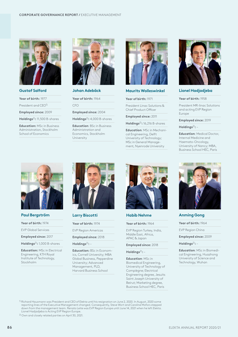

# **Gustaf Salford**

**Year of birth:** 1977

President and CEO<sup>1)</sup>

**Employed since:** 2009

**Holdings**2)**:** 11,500 B-shares

**Education:** MSc in Business Administration, Stockholm School of Economics



# **Johan Adebäck**

**Year of birth:** 1964

CFO

**Employed since:** 2004

**Holdings**2)**:** 4,000 B-shares

**Education**: BSc in Business Administration and Economics, Stockholm University



# **Maurits Wolleswinkel**

**Year of birth:** 1971

President Linac Solutions & Chief Product Officer

**Employed since:** 2011

**Holdings**2)**:** 16,216 B-shares

**Education**: MSc in Mechanical Engineering, Delft University of Technology; MSc in General Management, Nyenrode University



# **Lionel Hadjadjeba**

# **Year of birth:** 1958

President MR-linac Solutions and acting EVP Region Europe

**Employed since:** 2019

**Holdings**2)**:** –

**Education**: Medical Doctor, Internal Medicine and Haemato-Oncology, University of Nancy; MBA, Business School HEC, Paris



# **Paul Bergström**

**Year of birth:** 1974

- EVP Global Services
- **Employed since:** 2017

**Holdings**2)**:** 1,000 B-shares

**Education:** MSc in Electrical Engineering, KTH Royal Institute of Technology, Stockholm



# **Larry Biscotti**

**Year of birth:** 1974

EVP Region Americas

**Employed since:** 2018

**Holdings**2)**:** –

**Education:** BSc in Economics, Cornell University; MBA Global Business, Pepperdine University; Advanced Management, PLD, Harvard Business School



# **Habib Nehme**

**Year of birth:** 1964

EVP Region Turkey, India, Middle East, Africa, APAC & Japan

**Employed since:** 2018

**Holdings**2)**:** –

**Education**: MSc in Biomedical Engineering, University of Technology of Compiègne; Electrical Engineering degree, Jesuits Saint Joseph University of Beirut; Marketing degree, Business School HEC, Paris



# **Anming Gong**

**Year of birth:** 1964

EVP Region China

**Employed since:** 2009

**Holdings**2)**:** –

**Education**: MSc in Biomedical Engineering, Huazhong University of Science and Technology, Wuhan

 $1)$  Richard Hausmann was President and CEO of Elekta until his resignation on June 2, 2020. In August, 2020 some reporting lines of the Executive Management changed. Consequently, Steve Wort and Caroline Mofors stepped down from the management team. Renato Leite was EVP Region Europe until June 14, 2021 when he left Elekta. Lionel Hadjadjeba is Acting EVP Region Europe.

2) Own and closely related parties on April 30, 2021.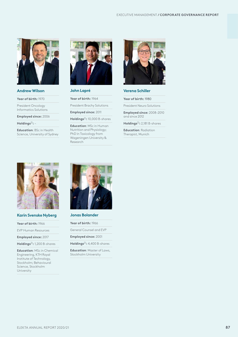

# **Andrew Wilson**

**Year of birth:** 1970

President Oncology Informatics Solutions

**Employed since:** 2006

**Holdings**2)**:** –

**Education**: BSc in Health Science, University of Sydney



# **John Lapré**

**Year of birth:** 1964

President Brachy Solutions

**Employed since:** 2011

**Holdings**2)**:** 10,000 B-shares

**Education**: MSc in Human Nutrition and Physiology; PhD in Toxicology from Wageningen University & Research



# **Verena Schiller**

**Year of birth:** 1980

President Neuro Solutions

**Employed since:** 2008–2010 and since 2012

**Holdings**2)**:** 2,181 B-shares

**Education**: Radiation Therapist, Munich



# **Karin Svenske Nyberg**

- **Year of birth:** 1966
- EVP Human Resources

**Employed since:** 2017

**Holdings**2)**:** 1,200 B-shares

**Education**: MSc in Chemical Engineering, KTH Royal Institute of Technology, Stockholm; Behavioural Science, Stockholm University



**Jonas Bolander**

**Year of birth:** 1966

General Counsel and EVP

**Employed since:** 2001

**Holdings**2)**:** 4,400 B-shares

**Education**: Master of Laws, Stockholm University